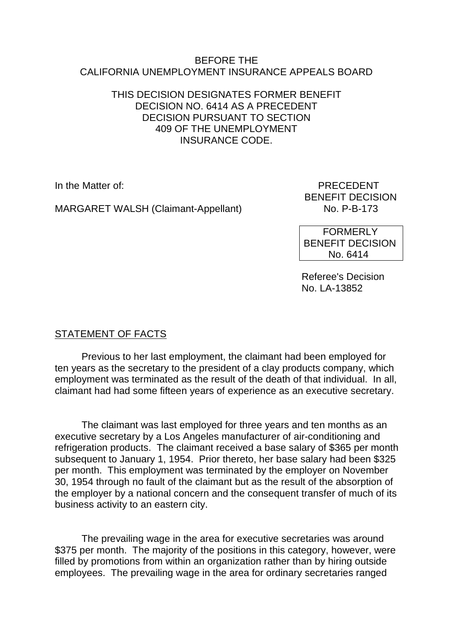#### BEFORE THE CALIFORNIA UNEMPLOYMENT INSURANCE APPEALS BOARD

#### THIS DECISION DESIGNATES FORMER BENEFIT DECISION NO. 6414 AS A PRECEDENT DECISION PURSUANT TO SECTION 409 OF THE UNEMPLOYMENT INSURANCE CODE.

MARGARET WALSH (Claimant-Appellant)

In the Matter of: PRECEDENT BENEFIT DECISION<br>No. P-B-173

> FORMERLY BENEFIT DECISION No. 6414

Referee's Decision No. LA-13852

# STATEMENT OF FACTS

Previous to her last employment, the claimant had been employed for ten years as the secretary to the president of a clay products company, which employment was terminated as the result of the death of that individual. In all, claimant had had some fifteen years of experience as an executive secretary.

The claimant was last employed for three years and ten months as an executive secretary by a Los Angeles manufacturer of air-conditioning and refrigeration products. The claimant received a base salary of \$365 per month subsequent to January 1, 1954. Prior thereto, her base salary had been \$325 per month. This employment was terminated by the employer on November 30, 1954 through no fault of the claimant but as the result of the absorption of the employer by a national concern and the consequent transfer of much of its business activity to an eastern city.

The prevailing wage in the area for executive secretaries was around \$375 per month. The majority of the positions in this category, however, were filled by promotions from within an organization rather than by hiring outside employees. The prevailing wage in the area for ordinary secretaries ranged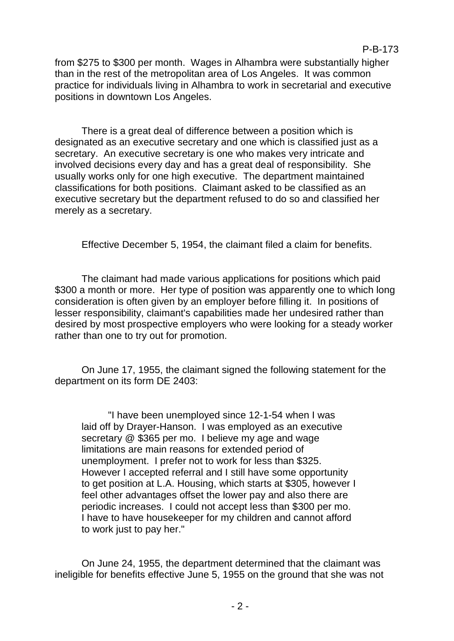from \$275 to \$300 per month. Wages in Alhambra were substantially higher than in the rest of the metropolitan area of Los Angeles. It was common practice for individuals living in Alhambra to work in secretarial and executive positions in downtown Los Angeles.

P-B-173

There is a great deal of difference between a position which is designated as an executive secretary and one which is classified just as a secretary. An executive secretary is one who makes very intricate and involved decisions every day and has a great deal of responsibility. She usually works only for one high executive. The department maintained classifications for both positions. Claimant asked to be classified as an executive secretary but the department refused to do so and classified her merely as a secretary.

Effective December 5, 1954, the claimant filed a claim for benefits.

The claimant had made various applications for positions which paid \$300 a month or more. Her type of position was apparently one to which long consideration is often given by an employer before filling it. In positions of lesser responsibility, claimant's capabilities made her undesired rather than desired by most prospective employers who were looking for a steady worker rather than one to try out for promotion.

On June 17, 1955, the claimant signed the following statement for the department on its form DE 2403:

"I have been unemployed since 12-1-54 when I was laid off by Drayer-Hanson. I was employed as an executive secretary @ \$365 per mo. I believe my age and wage limitations are main reasons for extended period of unemployment. I prefer not to work for less than \$325. However I accepted referral and I still have some opportunity to get position at L.A. Housing, which starts at \$305, however I feel other advantages offset the lower pay and also there are periodic increases. I could not accept less than \$300 per mo. I have to have housekeeper for my children and cannot afford to work just to pay her."

On June 24, 1955, the department determined that the claimant was ineligible for benefits effective June 5, 1955 on the ground that she was not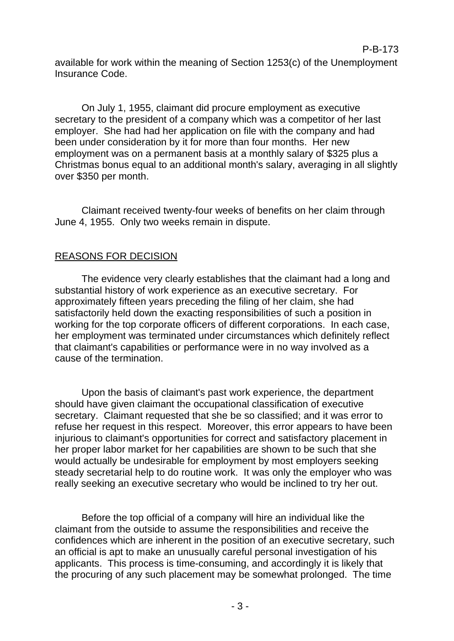available for work within the meaning of Section 1253(c) of the Unemployment Insurance Code.

On July 1, 1955, claimant did procure employment as executive secretary to the president of a company which was a competitor of her last employer. She had had her application on file with the company and had been under consideration by it for more than four months. Her new employment was on a permanent basis at a monthly salary of \$325 plus a Christmas bonus equal to an additional month's salary, averaging in all slightly over \$350 per month.

Claimant received twenty-four weeks of benefits on her claim through June 4, 1955. Only two weeks remain in dispute.

## REASONS FOR DECISION

The evidence very clearly establishes that the claimant had a long and substantial history of work experience as an executive secretary. For approximately fifteen years preceding the filing of her claim, she had satisfactorily held down the exacting responsibilities of such a position in working for the top corporate officers of different corporations. In each case, her employment was terminated under circumstances which definitely reflect that claimant's capabilities or performance were in no way involved as a cause of the termination.

Upon the basis of claimant's past work experience, the department should have given claimant the occupational classification of executive secretary. Claimant requested that she be so classified; and it was error to refuse her request in this respect. Moreover, this error appears to have been injurious to claimant's opportunities for correct and satisfactory placement in her proper labor market for her capabilities are shown to be such that she would actually be undesirable for employment by most employers seeking steady secretarial help to do routine work. It was only the employer who was really seeking an executive secretary who would be inclined to try her out.

Before the top official of a company will hire an individual like the claimant from the outside to assume the responsibilities and receive the confidences which are inherent in the position of an executive secretary, such an official is apt to make an unusually careful personal investigation of his applicants. This process is time-consuming, and accordingly it is likely that the procuring of any such placement may be somewhat prolonged. The time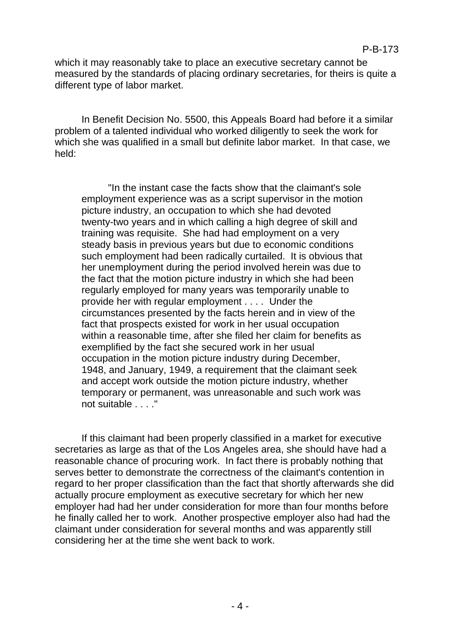which it may reasonably take to place an executive secretary cannot be measured by the standards of placing ordinary secretaries, for theirs is quite a different type of labor market.

In Benefit Decision No. 5500, this Appeals Board had before it a similar problem of a talented individual who worked diligently to seek the work for which she was qualified in a small but definite labor market. In that case, we held:

"In the instant case the facts show that the claimant's sole employment experience was as a script supervisor in the motion picture industry, an occupation to which she had devoted twenty-two years and in which calling a high degree of skill and training was requisite. She had had employment on a very steady basis in previous years but due to economic conditions such employment had been radically curtailed. It is obvious that her unemployment during the period involved herein was due to the fact that the motion picture industry in which she had been regularly employed for many years was temporarily unable to provide her with regular employment . . . . Under the circumstances presented by the facts herein and in view of the fact that prospects existed for work in her usual occupation within a reasonable time, after she filed her claim for benefits as exemplified by the fact she secured work in her usual occupation in the motion picture industry during December, 1948, and January, 1949, a requirement that the claimant seek and accept work outside the motion picture industry, whether temporary or permanent, was unreasonable and such work was not suitable . . . ."

If this claimant had been properly classified in a market for executive secretaries as large as that of the Los Angeles area, she should have had a reasonable chance of procuring work. In fact there is probably nothing that serves better to demonstrate the correctness of the claimant's contention in regard to her proper classification than the fact that shortly afterwards she did actually procure employment as executive secretary for which her new employer had had her under consideration for more than four months before he finally called her to work. Another prospective employer also had had the claimant under consideration for several months and was apparently still considering her at the time she went back to work.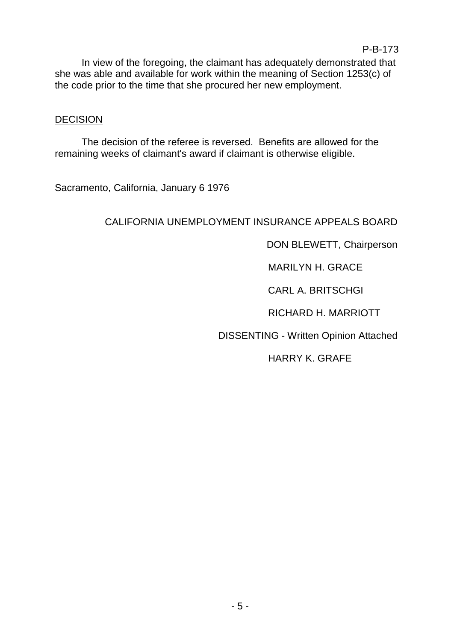In view of the foregoing, the claimant has adequately demonstrated that she was able and available for work within the meaning of Section 1253(c) of the code prior to the time that she procured her new employment.

#### **DECISION**

The decision of the referee is reversed. Benefits are allowed for the remaining weeks of claimant's award if claimant is otherwise eligible.

Sacramento, California, January 6 1976

## CALIFORNIA UNEMPLOYMENT INSURANCE APPEALS BOARD

DON BLEWETT, Chairperson

MARILYN H. GRACE

CARL A. BRITSCHGI

RICHARD H. MARRIOTT

DISSENTING - Written Opinion Attached

HARRY K. GRAFE